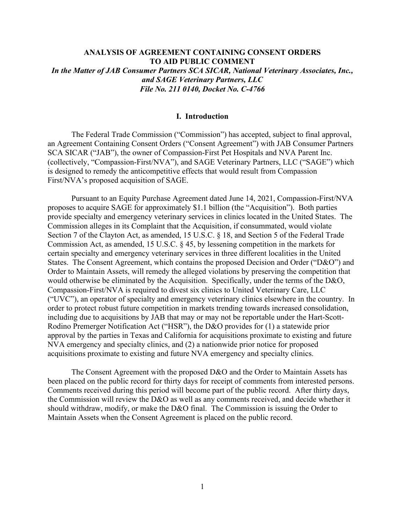# **ANALYSIS OF AGREEMENT CONTAINING CONSENT ORDERS TO AID PUBLIC COMMENT** *In the Matter of JAB Consumer Partners SCA SICAR, National Veterinary Associates, Inc., and SAGE Veterinary Partners, LLC File No. 211 0140, Docket No. C-4766*

## **I. Introduction**

The Federal Trade Commission ("Commission") has accepted, subject to final approval, an Agreement Containing Consent Orders ("Consent Agreement") with JAB Consumer Partners SCA SICAR ("JAB"), the owner of Compassion-First Pet Hospitals and NVA Parent Inc. (collectively, "Compassion-First/NVA"), and SAGE Veterinary Partners, LLC ("SAGE") which is designed to remedy the anticompetitive effects that would result from Compassion First/NVA's proposed acquisition of SAGE.

Pursuant to an Equity Purchase Agreement dated June 14, 2021, Compassion-First/NVA proposes to acquire SAGE for approximately \$1.1 billion (the "Acquisition"). Both parties provide specialty and emergency veterinary services in clinics located in the United States. The Commission alleges in its Complaint that the Acquisition, if consummated, would violate Section 7 of the Clayton Act, as amended, 15 U.S.C. § 18, and Section 5 of the Federal Trade Commission Act, as amended, 15 U.S.C. § 45, by lessening competition in the markets for certain specialty and emergency veterinary services in three different localities in the United States. The Consent Agreement, which contains the proposed Decision and Order ("D&O") and Order to Maintain Assets, will remedy the alleged violations by preserving the competition that would otherwise be eliminated by the Acquisition. Specifically, under the terms of the D&O, Compassion-First/NVA is required to divest six clinics to United Veterinary Care, LLC ("UVC"), an operator of specialty and emergency veterinary clinics elsewhere in the country. In order to protect robust future competition in markets trending towards increased consolidation, including due to acquisitions by JAB that may or may not be reportable under the Hart-Scott-Rodino Premerger Notification Act ("HSR"), the D&O provides for (1) a statewide prior approval by the parties in Texas and California for acquisitions proximate to existing and future NVA emergency and specialty clinics, and (2) a nationwide prior notice for proposed acquisitions proximate to existing and future NVA emergency and specialty clinics.

The Consent Agreement with the proposed D&O and the Order to Maintain Assets has been placed on the public record for thirty days for receipt of comments from interested persons. Comments received during this period will become part of the public record. After thirty days, the Commission will review the D&O as well as any comments received, and decide whether it should withdraw, modify, or make the D&O final. The Commission is issuing the Order to Maintain Assets when the Consent Agreement is placed on the public record.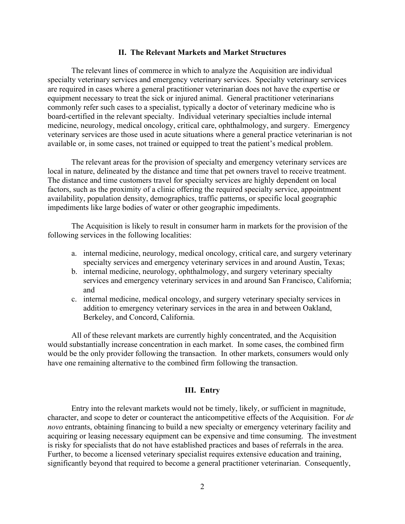### **II. The Relevant Markets and Market Structures**

The relevant lines of commerce in which to analyze the Acquisition are individual specialty veterinary services and emergency veterinary services. Specialty veterinary services are required in cases where a general practitioner veterinarian does not have the expertise or equipment necessary to treat the sick or injured animal. General practitioner veterinarians commonly refer such cases to a specialist, typically a doctor of veterinary medicine who is board-certified in the relevant specialty. Individual veterinary specialties include internal medicine, neurology, medical oncology, critical care, ophthalmology, and surgery. Emergency veterinary services are those used in acute situations where a general practice veterinarian is not available or, in some cases, not trained or equipped to treat the patient's medical problem.

The relevant areas for the provision of specialty and emergency veterinary services are local in nature, delineated by the distance and time that pet owners travel to receive treatment. The distance and time customers travel for specialty services are highly dependent on local factors, such as the proximity of a clinic offering the required specialty service, appointment availability, population density, demographics, traffic patterns, or specific local geographic impediments like large bodies of water or other geographic impediments.

The Acquisition is likely to result in consumer harm in markets for the provision of the following services in the following localities:

- a. internal medicine, neurology, medical oncology, critical care, and surgery veterinary specialty services and emergency veterinary services in and around Austin, Texas;
- b. internal medicine, neurology, ophthalmology, and surgery veterinary specialty services and emergency veterinary services in and around San Francisco, California; and
- c. internal medicine, medical oncology, and surgery veterinary specialty services in addition to emergency veterinary services in the area in and between Oakland, Berkeley, and Concord, California.

All of these relevant markets are currently highly concentrated, and the Acquisition would substantially increase concentration in each market. In some cases, the combined firm would be the only provider following the transaction. In other markets, consumers would only have one remaining alternative to the combined firm following the transaction.

## **III. Entry**

Entry into the relevant markets would not be timely, likely, or sufficient in magnitude, character, and scope to deter or counteract the anticompetitive effects of the Acquisition. For *de novo* entrants, obtaining financing to build a new specialty or emergency veterinary facility and acquiring or leasing necessary equipment can be expensive and time consuming. The investment is risky for specialists that do not have established practices and bases of referrals in the area. Further, to become a licensed veterinary specialist requires extensive education and training, significantly beyond that required to become a general practitioner veterinarian. Consequently,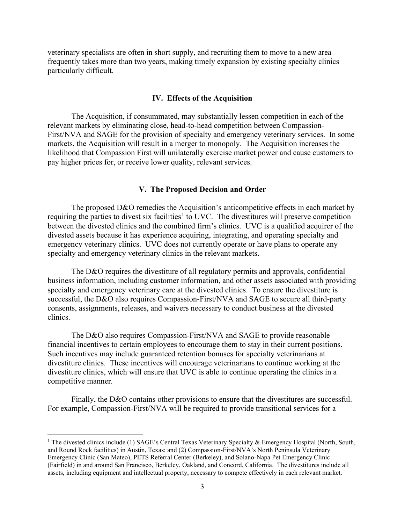veterinary specialists are often in short supply, and recruiting them to move to a new area frequently takes more than two years, making timely expansion by existing specialty clinics particularly difficult.

## **IV. Effects of the Acquisition**

The Acquisition, if consummated, may substantially lessen competition in each of the relevant markets by eliminating close, head-to-head competition between Compassion-First/NVA and SAGE for the provision of specialty and emergency veterinary services. In some markets, the Acquisition will result in a merger to monopoly. The Acquisition increases the likelihood that Compassion First will unilaterally exercise market power and cause customers to pay higher prices for, or receive lower quality, relevant services.

### **V. The Proposed Decision and Order**

The proposed D&O remedies the Acquisition's anticompetitive effects in each market by requiring the parties to divest six facilities<sup>[1](#page-2-0)</sup> to UVC. The divestitures will preserve competition between the divested clinics and the combined firm's clinics. UVC is a qualified acquirer of the divested assets because it has experience acquiring, integrating, and operating specialty and emergency veterinary clinics. UVC does not currently operate or have plans to operate any specialty and emergency veterinary clinics in the relevant markets.

The D&O requires the divestiture of all regulatory permits and approvals, confidential business information, including customer information, and other assets associated with providing specialty and emergency veterinary care at the divested clinics. To ensure the divestiture is successful, the D&O also requires Compassion-First/NVA and SAGE to secure all third-party consents, assignments, releases, and waivers necessary to conduct business at the divested clinics.

The D&O also requires Compassion-First/NVA and SAGE to provide reasonable financial incentives to certain employees to encourage them to stay in their current positions. Such incentives may include guaranteed retention bonuses for specialty veterinarians at divestiture clinics. These incentives will encourage veterinarians to continue working at the divestiture clinics, which will ensure that UVC is able to continue operating the clinics in a competitive manner.

Finally, the D&O contains other provisions to ensure that the divestitures are successful. For example, Compassion-First/NVA will be required to provide transitional services for a

<span id="page-2-0"></span><sup>&</sup>lt;sup>1</sup> The divested clinics include (1) SAGE's Central Texas Veterinary Specialty & Emergency Hospital (North, South, and Round Rock facilities) in Austin, Texas; and (2) Compassion-First/NVA's North Peninsula Veterinary Emergency Clinic (San Mateo), PETS Referral Center (Berkeley), and Solano-Napa Pet Emergency Clinic (Fairfield) in and around San Francisco, Berkeley, Oakland, and Concord, California. The divestitures include all assets, including equipment and intellectual property, necessary to compete effectively in each relevant market.